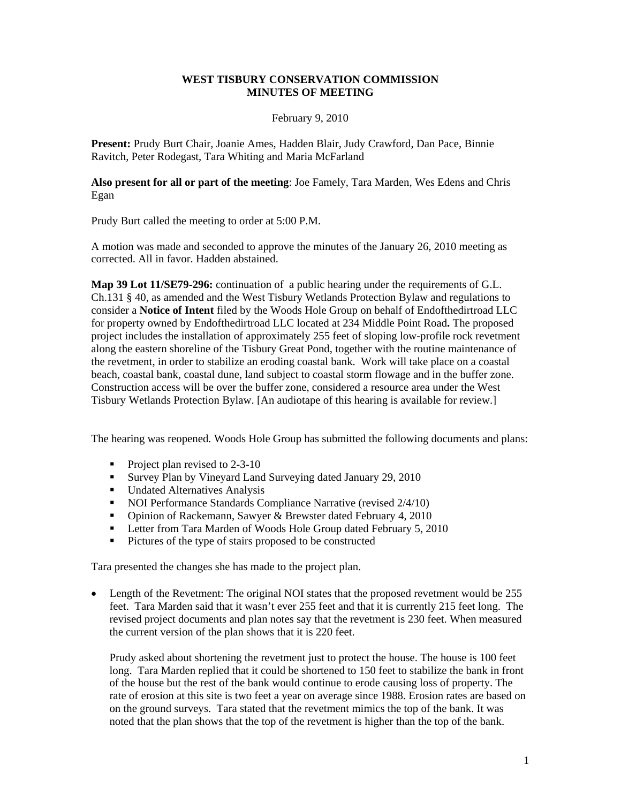## **WEST TISBURY CONSERVATION COMMISSION MINUTES OF MEETING**

#### February 9, 2010

**Present:** Prudy Burt Chair, Joanie Ames, Hadden Blair, Judy Crawford, Dan Pace, Binnie Ravitch, Peter Rodegast, Tara Whiting and Maria McFarland

**Also present for all or part of the meeting**: Joe Famely, Tara Marden, Wes Edens and Chris Egan

Prudy Burt called the meeting to order at 5:00 P.M.

A motion was made and seconded to approve the minutes of the January 26, 2010 meeting as corrected. All in favor. Hadden abstained.

**Map 39 Lot 11/SE79-296:** continuation of a public hearing under the requirements of G.L. Ch.131 § 40, as amended and the West Tisbury Wetlands Protection Bylaw and regulations to consider a **Notice of Intent** filed by the Woods Hole Group on behalf of Endofthedirtroad LLC for property owned by Endofthedirtroad LLC located at 234 Middle Point Road**.** The proposed project includes the installation of approximately 255 feet of sloping low-profile rock revetment along the eastern shoreline of the Tisbury Great Pond, together with the routine maintenance of the revetment, in order to stabilize an eroding coastal bank. Work will take place on a coastal beach, coastal bank, coastal dune, land subject to coastal storm flowage and in the buffer zone. Construction access will be over the buffer zone, considered a resource area under the West Tisbury Wetlands Protection Bylaw. [An audiotape of this hearing is available for review.]

The hearing was reopened*.* Woods Hole Group has submitted the following documents and plans:

- Project plan revised to  $2-3-10$
- Survey Plan by Vineyard Land Surveying dated January 29, 2010
- **Undated Alternatives Analysis**
- NOI Performance Standards Compliance Narrative (revised  $2/4/10$ )
- Opinion of Rackemann, Sawyer & Brewster dated February 4, 2010
- **Letter from Tara Marden of Woods Hole Group dated February 5, 2010**
- Pictures of the type of stairs proposed to be constructed

Tara presented the changes she has made to the project plan.

• Length of the Revetment: The original NOI states that the proposed revetment would be 255 feet. Tara Marden said that it wasn't ever 255 feet and that it is currently 215 feet long. The revised project documents and plan notes say that the revetment is 230 feet. When measured the current version of the plan shows that it is 220 feet.

Prudy asked about shortening the revetment just to protect the house. The house is 100 feet long. Tara Marden replied that it could be shortened to 150 feet to stabilize the bank in front of the house but the rest of the bank would continue to erode causing loss of property. The rate of erosion at this site is two feet a year on average since 1988. Erosion rates are based on on the ground surveys. Tara stated that the revetment mimics the top of the bank. It was noted that the plan shows that the top of the revetment is higher than the top of the bank.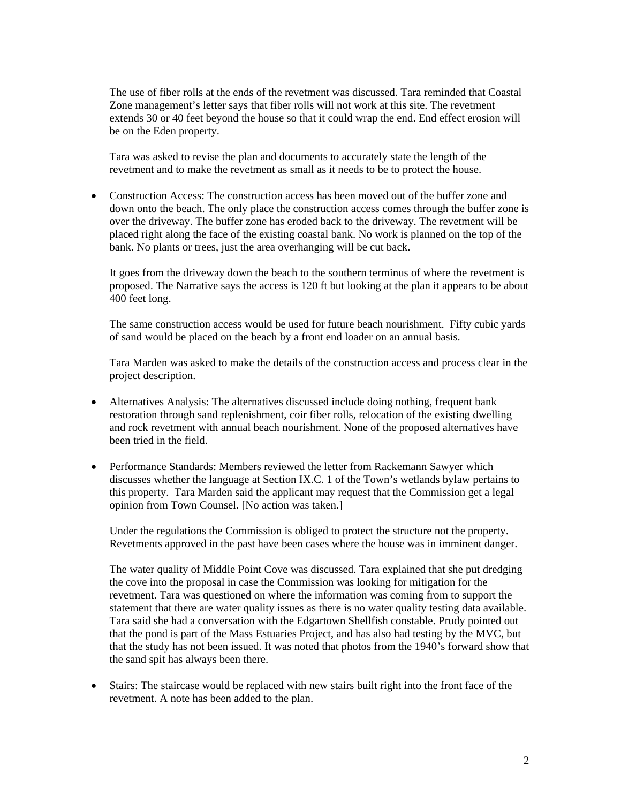The use of fiber rolls at the ends of the revetment was discussed. Tara reminded that Coastal Zone management's letter says that fiber rolls will not work at this site. The revetment extends 30 or 40 feet beyond the house so that it could wrap the end. End effect erosion will be on the Eden property.

 Tara was asked to revise the plan and documents to accurately state the length of the revetment and to make the revetment as small as it needs to be to protect the house.

• Construction Access: The construction access has been moved out of the buffer zone and down onto the beach. The only place the construction access comes through the buffer zone is over the driveway. The buffer zone has eroded back to the driveway. The revetment will be placed right along the face of the existing coastal bank. No work is planned on the top of the bank. No plants or trees, just the area overhanging will be cut back.

 It goes from the driveway down the beach to the southern terminus of where the revetment is proposed. The Narrative says the access is 120 ft but looking at the plan it appears to be about 400 feet long.

 The same construction access would be used for future beach nourishment. Fifty cubic yards of sand would be placed on the beach by a front end loader on an annual basis.

 Tara Marden was asked to make the details of the construction access and process clear in the project description.

- Alternatives Analysis: The alternatives discussed include doing nothing, frequent bank restoration through sand replenishment, coir fiber rolls, relocation of the existing dwelling and rock revetment with annual beach nourishment. None of the proposed alternatives have been tried in the field.
- Performance Standards: Members reviewed the letter from Rackemann Sawyer which discusses whether the language at Section IX.C. 1 of the Town's wetlands bylaw pertains to this property. Tara Marden said the applicant may request that the Commission get a legal opinion from Town Counsel. [No action was taken.]

Under the regulations the Commission is obliged to protect the structure not the property. Revetments approved in the past have been cases where the house was in imminent danger.

The water quality of Middle Point Cove was discussed. Tara explained that she put dredging the cove into the proposal in case the Commission was looking for mitigation for the revetment. Tara was questioned on where the information was coming from to support the statement that there are water quality issues as there is no water quality testing data available. Tara said she had a conversation with the Edgartown Shellfish constable. Prudy pointed out that the pond is part of the Mass Estuaries Project, and has also had testing by the MVC, but that the study has not been issued. It was noted that photos from the 1940's forward show that the sand spit has always been there.

• Stairs: The staircase would be replaced with new stairs built right into the front face of the revetment. A note has been added to the plan.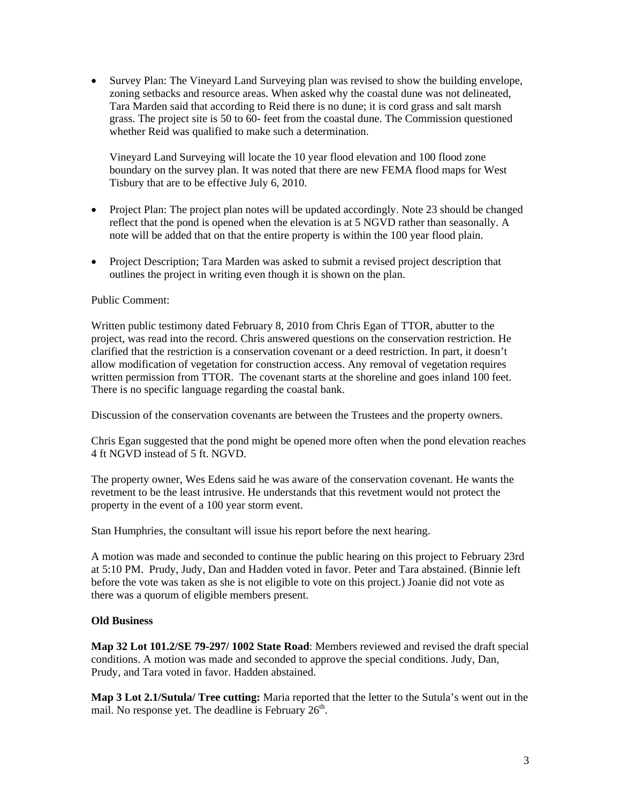• Survey Plan: The Vineyard Land Surveying plan was revised to show the building envelope, zoning setbacks and resource areas. When asked why the coastal dune was not delineated, Tara Marden said that according to Reid there is no dune; it is cord grass and salt marsh grass. The project site is 50 to 60- feet from the coastal dune. The Commission questioned whether Reid was qualified to make such a determination.

Vineyard Land Surveying will locate the 10 year flood elevation and 100 flood zone boundary on the survey plan. It was noted that there are new FEMA flood maps for West Tisbury that are to be effective July 6, 2010.

- Project Plan: The project plan notes will be updated accordingly. Note 23 should be changed reflect that the pond is opened when the elevation is at 5 NGVD rather than seasonally. A note will be added that on that the entire property is within the 100 year flood plain.
- Project Description; Tara Marden was asked to submit a revised project description that outlines the project in writing even though it is shown on the plan.

### Public Comment:

Written public testimony dated February 8, 2010 from Chris Egan of TTOR, abutter to the project, was read into the record. Chris answered questions on the conservation restriction. He clarified that the restriction is a conservation covenant or a deed restriction. In part, it doesn't allow modification of vegetation for construction access. Any removal of vegetation requires written permission from TTOR. The covenant starts at the shoreline and goes inland 100 feet. There is no specific language regarding the coastal bank.

Discussion of the conservation covenants are between the Trustees and the property owners.

Chris Egan suggested that the pond might be opened more often when the pond elevation reaches 4 ft NGVD instead of 5 ft. NGVD.

The property owner, Wes Edens said he was aware of the conservation covenant. He wants the revetment to be the least intrusive. He understands that this revetment would not protect the property in the event of a 100 year storm event.

Stan Humphries, the consultant will issue his report before the next hearing.

A motion was made and seconded to continue the public hearing on this project to February 23rd at 5:10 PM. Prudy, Judy, Dan and Hadden voted in favor. Peter and Tara abstained. (Binnie left before the vote was taken as she is not eligible to vote on this project.) Joanie did not vote as there was a quorum of eligible members present.

### **Old Business**

**Map 32 Lot 101.2/SE 79-297/ 1002 State Road**: Members reviewed and revised the draft special conditions. A motion was made and seconded to approve the special conditions. Judy, Dan, Prudy, and Tara voted in favor. Hadden abstained.

**Map 3 Lot 2.1/Sutula/ Tree cutting:** Maria reported that the letter to the Sutula's went out in the mail. No response yet. The deadline is February  $26<sup>th</sup>$ .